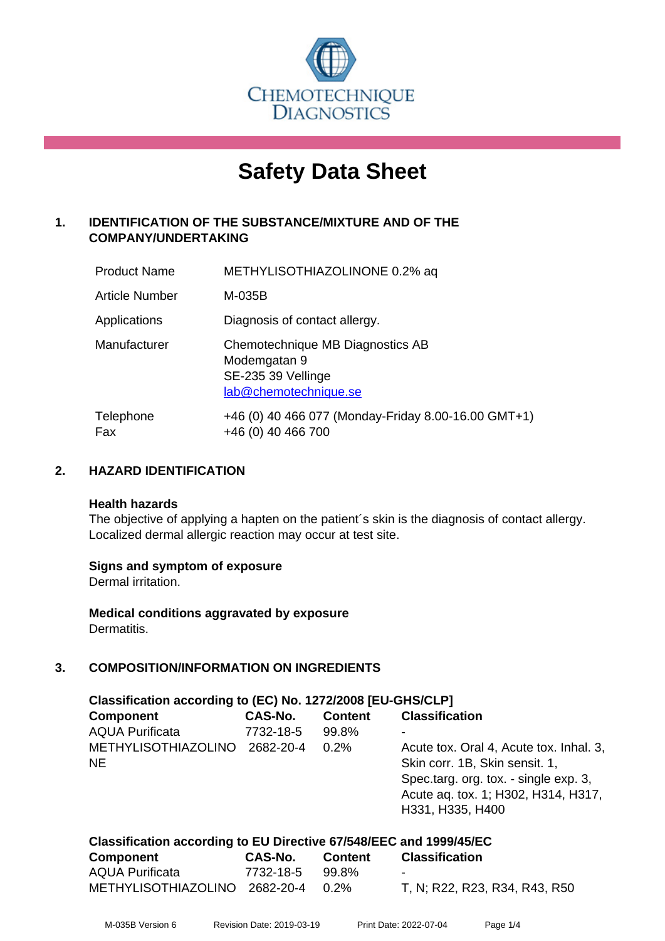

# **Safety Data Sheet**

# **1. IDENTIFICATION OF THE SUBSTANCE/MIXTURE AND OF THE COMPANY/UNDERTAKING**

| <b>Product Name</b> | METHYLISOTHIAZOLINONE 0.2% aq                                                                   |
|---------------------|-------------------------------------------------------------------------------------------------|
| Article Number      | M-035B                                                                                          |
| Applications        | Diagnosis of contact allergy.                                                                   |
| Manufacturer        | Chemotechnique MB Diagnostics AB<br>Modemgatan 9<br>SE-235 39 Vellinge<br>lab@chemotechnique.se |
| Telephone<br>Fax    | +46 (0) 40 466 077 (Monday-Friday 8.00-16.00 GMT+1)<br>+46 (0) 40 466 700                       |

## **2. HAZARD IDENTIFICATION**

#### **Health hazards**

The objective of applying a hapten on the patient's skin is the diagnosis of contact allergy. Localized dermal allergic reaction may occur at test site.

## **Signs and symptom of exposure**

Dermal irritation.

**Medical conditions aggravated by exposure** Dermatitis.

# **3. COMPOSITION/INFORMATION ON INGREDIENTS**

| Classification according to (EC) No. 1272/2008 [EU-GHS/CLP] |           |                |                                                                                                                                                                               |
|-------------------------------------------------------------|-----------|----------------|-------------------------------------------------------------------------------------------------------------------------------------------------------------------------------|
| <b>Component</b>                                            | CAS-No.   | <b>Content</b> | <b>Classification</b>                                                                                                                                                         |
| <b>AQUA Purificata</b>                                      | 7732-18-5 | 99.8%          |                                                                                                                                                                               |
| <b>METHYLISOTHIAZOLINO</b><br><b>NE</b>                     | 2682-20-4 | 0.2%           | Acute tox. Oral 4, Acute tox. Inhal. 3,<br>Skin corr. 1B, Skin sensit. 1,<br>Spec.targ. org. tox. - single exp. 3,<br>Acute aq. tox. 1; H302, H314, H317,<br>H331, H335, H400 |

| Classification according to EU Directive 67/548/EEC and 1999/45/EC |                |                |                       |
|--------------------------------------------------------------------|----------------|----------------|-----------------------|
| <b>Component</b>                                                   | <b>CAS-No.</b> | <b>Content</b> | <b>Classification</b> |

| <b>OUTINATION</b>                  | vavus.          | — UUIILUIL | <b>UIUSSIIIVUUVII</b>         |
|------------------------------------|-----------------|------------|-------------------------------|
| <b>AQUA Purificata</b>             | 7732-18-5 99.8% |            | -                             |
| METHYLISOTHIAZOLINO 2682-20-4 0.2% |                 |            | T, N; R22, R23, R34, R43, R50 |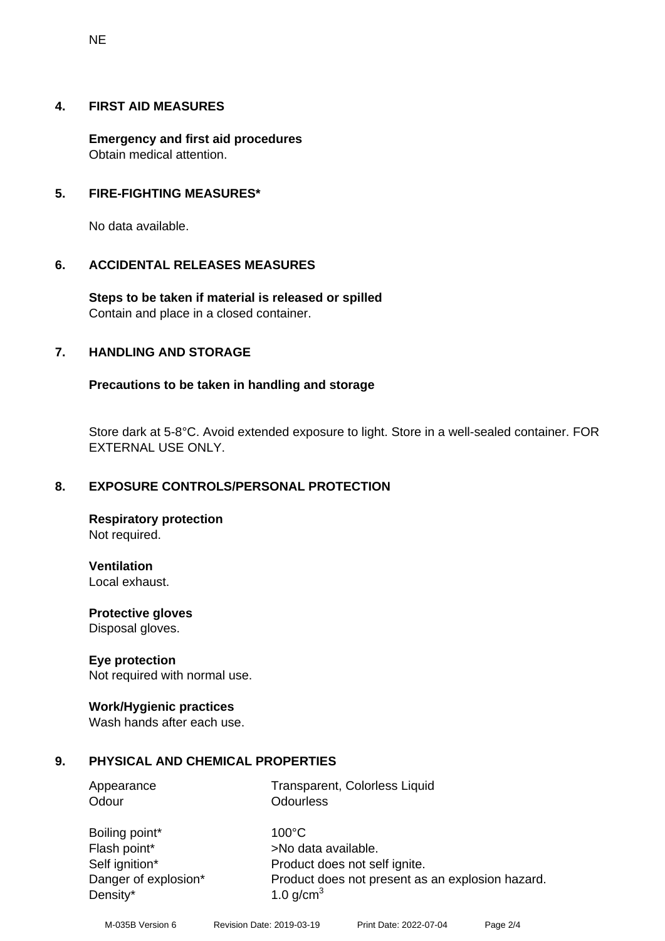#### **4. FIRST AID MEASURES**

**Emergency and first aid procedures** Obtain medical attention.

#### **5. FIRE-FIGHTING MEASURES\***

No data available.

#### **6. ACCIDENTAL RELEASES MEASURES**

**Steps to be taken if material is released or spilled** Contain and place in a closed container.

## **7. HANDLING AND STORAGE**

#### **Precautions to be taken in handling and storage**

Store dark at 5-8°C. Avoid extended exposure to light. Store in a well-sealed container. FOR EXTERNAL USE ONLY.

## **8. EXPOSURE CONTROLS/PERSONAL PROTECTION**

**Respiratory protection** Not required.

**Ventilation** Local exhaust.

**Protective gloves** Disposal gloves.

#### **Eye protection**

Not required with normal use.

#### **Work/Hygienic practices**

Wash hands after each use.

## **9. PHYSICAL AND CHEMICAL PROPERTIES**

| Transparent, Colorless Liquid                    |
|--------------------------------------------------|
| <b>Odourless</b>                                 |
| $100^{\circ}$ C                                  |
| >No data available.                              |
| Product does not self ignite.                    |
| Product does not present as an explosion hazard. |
| 1.0 $q/cm3$                                      |
|                                                  |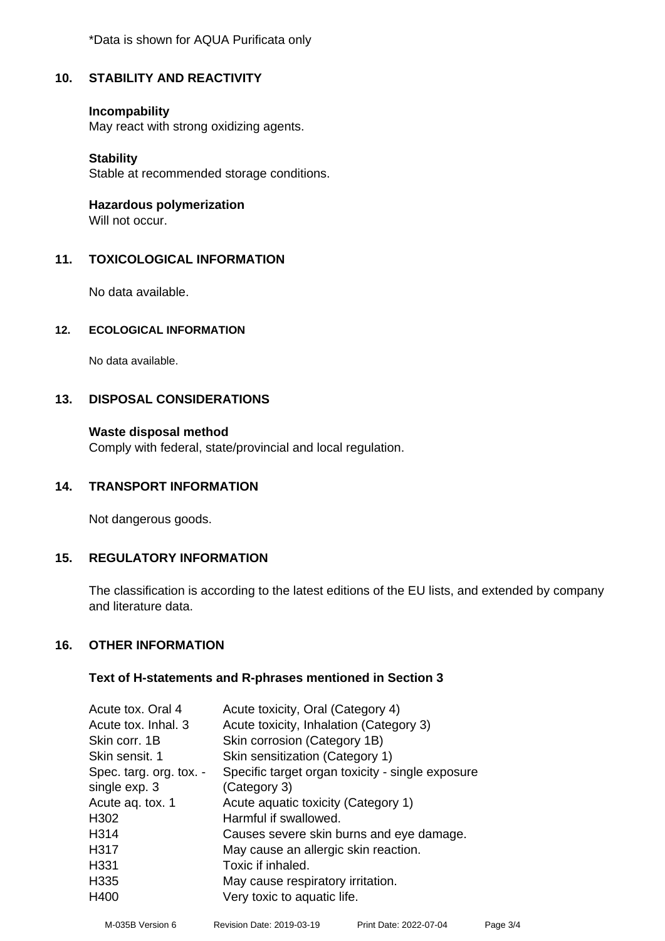\*Data is shown for AQUA Purificata only

# **10. STABILITY AND REACTIVITY**

#### **Incompability**

May react with strong oxidizing agents.

#### **Stability**

Stable at recommended storage conditions.

**Hazardous polymerization**

Will not occur.

## **11. TOXICOLOGICAL INFORMATION**

No data available.

#### **12. ECOLOGICAL INFORMATION**

No data available.

## **13. DISPOSAL CONSIDERATIONS**

## **Waste disposal method**

Comply with federal, state/provincial and local regulation.

## **14. TRANSPORT INFORMATION**

Not dangerous goods.

## **15. REGULATORY INFORMATION**

The classification is according to the latest editions of the EU lists, and extended by company and literature data.

## **16. OTHER INFORMATION**

#### **Text of H-statements and R-phrases mentioned in Section 3**

| Acute tox. Oral 4       | Acute toxicity, Oral (Category 4)                |
|-------------------------|--------------------------------------------------|
| Acute tox. Inhal. 3     | Acute toxicity, Inhalation (Category 3)          |
| Skin corr. 1B           | Skin corrosion (Category 1B)                     |
| Skin sensit. 1          | Skin sensitization (Category 1)                  |
| Spec. targ. org. tox. - | Specific target organ toxicity - single exposure |
| single exp. 3           | (Category 3)                                     |
| Acute aq. tox. 1        | Acute aquatic toxicity (Category 1)              |
| H <sub>302</sub>        | Harmful if swallowed.                            |
| H314                    | Causes severe skin burns and eye damage.         |
| H317                    | May cause an allergic skin reaction.             |
| H331                    | Toxic if inhaled.                                |
| H335                    | May cause respiratory irritation.                |
| H400                    | Very toxic to aquatic life.                      |
|                         |                                                  |